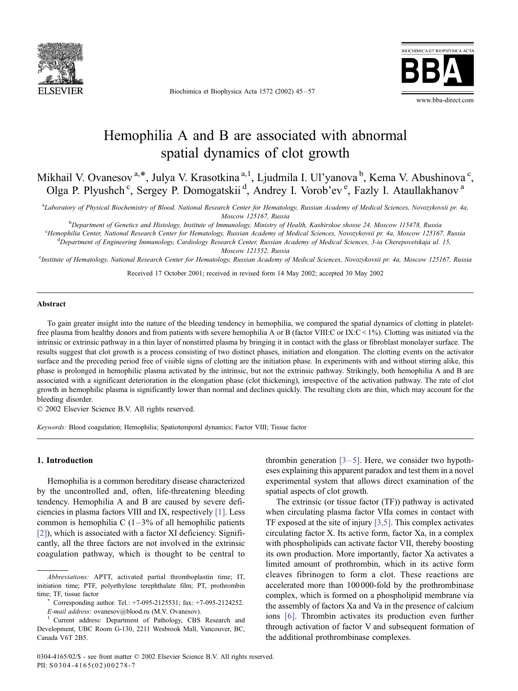

Biochimica et Biophysica Acta 1572 (2002) 45 – 57



# Hemophilia A and B are associated with abnormal spatial dynamics of clot growth

Mikhail V. Ovanesov<sup>a,\*</sup>, Julya V. Krasotkina<sup>a, 1</sup>, Ljudmila I. Ul'yanova <sup>b</sup>, Kema V. Abushinova <sup>c</sup>, Olga P. Plyushch<sup>c</sup>, Sergey P. Domogatskii<sup>d</sup>, Andrey I. Vorob'ev<sup>e</sup>, Fazly I. Ataullakhanov<sup>a</sup>

a Laboratory of Physical Biochemistry of Blood, National Research Center for Hematology, Russian Academy of Medical Sciences, Novozykovsii pr. 4a, Moscow 125167, Russia<br>bDonartmant of Genetics and Histology Institute of Immunology Ministery of P

Department of Genetics and Histology, Institute of Immunology, Ministry of Health, Kashirskoe shosse 24, Moscow 115478, Russia<br>Hamophilia Cantar National Pescarch Cantar for Hamatology, Pussian Acadamy of Madical Sciences,

<sup>c</sup>Hemophilia Center, National Research Center for Hematology, Russian Academy of Medical Sciences, Novozykovsii pr. 4a, Moscow 125167, Russia <sup>d</sup>Department of Engineering Immunology, Cardiology Research Center, Russian Academy of Medical Sciences, 3-ia Cherepovetskaja ul. 15,

Moscow 121552, Russia<br>Institute of Hematology, National Research Center for Hematology, Russian Academy of Medical Sciences, Novozykovsii pr. 4a, Moscow 125167, Russia°

Received 17 October 2001; received in revised form 14 May 2002; accepted 30 May 2002

#### Abstract

To gain greater insight into the nature of the bleeding tendency in hemophilia, we compared the spatial dynamics of clotting in plateletfree plasma from healthy donors and from patients with severe hemophilia A or B (factor VIII:C or IX:C < 1%). Clotting was initiated via the intrinsic or extrinsic pathway in a thin layer of nonstirred plasma by bringing it in contact with the glass or fibroblast monolayer surface. The results suggest that clot growth is a process consisting of two distinct phases, initiation and elongation. The clotting events on the activator surface and the preceding period free of visible signs of clotting are the initiation phase. In experiments with and without stirring alike, this phase is prolonged in hemophilic plasma activated by the intrinsic, but not the extrinsic pathway. Strikingly, both hemophilia A and B are associated with a significant deterioration in the elongation phase (clot thickening), irrespective of the activation pathway. The rate of clot growth in hemophilic plasma is significantly lower than normal and declines quickly. The resulting clots are thin, which may account for the bleeding disorder.

 $\odot$  2002 Elsevier Science B.V. All rights reserved.

Keywords: Blood coagulation; Hemophilia; Spatiotemporal dynamics; Factor VIII; Tissue factor

# 1. Introduction

Hemophilia is a common hereditary disease characterized by the uncontrolled and, often, life-threatening bleeding tendency. Hemophilia A and B are caused by severe deficiencies in plasma factors VIII and IX, respectively [\[1\].](#page-11-0) Less common is hemophilia C  $(1-3\%$  of all hemophilic patients [\[2\]\)](#page-11-0), which is associated with a factor XI deficiency. Significantly, all the three factors are not involved in the extrinsic coagulation pathway, which is thought to be central to

thrombin generation  $[3-5]$ . Here, we consider two hypotheses explaining this apparent paradox and test them in a novel experimental system that allows direct examination of the spatial aspects of clot growth.

The extrinsic (or tissue factor (TF)) pathway is activated when circulating plasma factor VIIa comes in contact with TF exposed at the site of injury [\[3,5\].](#page-11-0) This complex activates circulating factor X. Its active form, factor Xa, in a complex with phospholipids can activate factor VII, thereby boosting its own production. More importantly, factor Xa activates a limited amount of prothrombin, which in its active form cleaves fibrinogen to form a clot. These reactions are accelerated more than 100 000-fold by the prothrombinase complex, which is formed on a phospholipid membrane via the assembly of factors Xa and Va in the presence of calcium ions [\[6\].](#page-11-0) Thrombin activates its production even further through activation of factor V and subsequent formation of the additional prothrombinase complexes.

Abbreviations: APTT, activated partial thromboplastin time; IT, initiation time; PTF, polyethylene terephthalate film; PT, prothrombin time; TF, tissue factor

Corresponding author. Tel.: +7-095-2125531; fax: +7-095-2124252. E-mail address: ovanesov@blood.ru (M.V. Ovanesov).<br>
<sup>1</sup> Current address: Department of Pathology, CBS Research and<br>
<sup>1</sup> Current address: Department of Pathology, CBS Research and

Development, UBC Room G-130, 2211 Wesbrook Mall, Vancouver, BC, Canada V6T 2B5.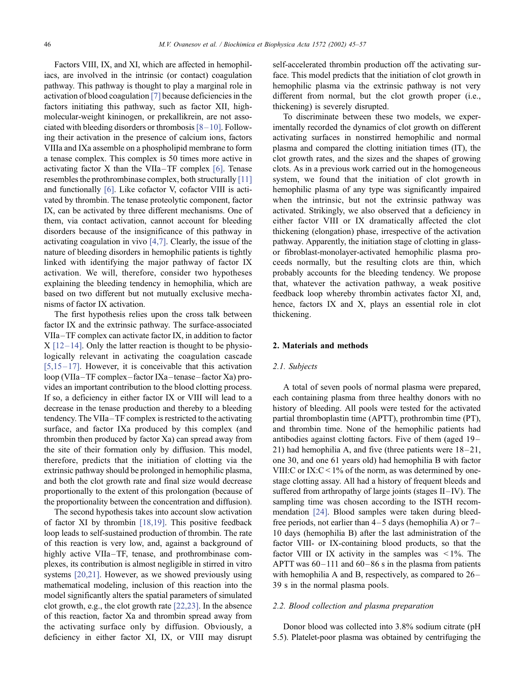Factors VIII, IX, and XI, which are affected in hemophiliacs, are involved in the intrinsic (or contact) coagulation pathway. This pathway is thought to play a marginal role in activation of blood coagulation [\[7\]](#page-11-0) because deficiencies in the factors initiating this pathway, such as factor XII, highmolecular-weight kininogen, or prekallikrein, are not associated with bleeding disorders or thrombosis [\[8– 10\].](#page-11-0) Following their activation in the presence of calcium ions, factors VIIIa and IXa assemble on a phospholipid membrane to form a tenase complex. This complex is 50 times more active in activating factor  $X$  than the VIIa-TF complex [\[6\].](#page-11-0) Tenase resembles the prothrombinase complex, both structurally [\[11\]](#page-11-0) and functionally [\[6\].](#page-11-0) Like cofactor V, cofactor VIII is activated by thrombin. The tenase proteolytic component, factor IX, can be activated by three different mechanisms. One of them, via contact activation, cannot account for bleeding disorders because of the insignificance of this pathway in activating coagulation in vivo [\[4,7\].](#page-11-0) Clearly, the issue of the nature of bleeding disorders in hemophilic patients is tightly linked with identifying the major pathway of factor IX activation. We will, therefore, consider two hypotheses explaining the bleeding tendency in hemophilia, which are based on two different but not mutually exclusive mechanisms of factor IX activation.

The first hypothesis relies upon the cross talk between factor IX and the extrinsic pathway. The surface-associated VIIa –TF complex can activate factor IX, in addition to factor  $X$  [12-14]. Only the latter reaction is thought to be physiologically relevant in activating the coagulation cascade [5,15 $-17$ ]. However, it is conceivable that this activation loop (VIIa –TF complex – factor IXa –tenase – factor Xa) provides an important contribution to the blood clotting process. If so, a deficiency in either factor IX or VIII will lead to a decrease in the tenase production and thereby to a bleeding tendency. The VIIa–TF complex is restricted to the activating surface, and factor IXa produced by this complex (and thrombin then produced by factor Xa) can spread away from the site of their formation only by diffusion. This model, therefore, predicts that the initiation of clotting via the extrinsic pathway should be prolonged in hemophilic plasma, and both the clot growth rate and final size would decrease proportionally to the extent of this prolongation (because of the proportionality between the concentration and diffusion).

The second hypothesis takes into account slow activation of factor XI by thrombin [\[18,19\].](#page-11-0) This positive feedback loop leads to self-sustained production of thrombin. The rate of this reaction is very low, and, against a background of highly active VIIa-TF, tenase, and prothrombinase complexes, its contribution is almost negligible in stirred in vitro systems [\[20,21\].](#page-11-0) However, as we showed previously using mathematical modeling, inclusion of this reaction into the model significantly alters the spatial parameters of simulated clot growth, e.g., the clot growth rate [\[22,23\].](#page-11-0) In the absence of this reaction, factor Xa and thrombin spread away from the activating surface only by diffusion. Obviously, a deficiency in either factor XI, IX, or VIII may disrupt

self-accelerated thrombin production off the activating surface. This model predicts that the initiation of clot growth in hemophilic plasma via the extrinsic pathway is not very different from normal, but the clot growth proper (i.e., thickening) is severely disrupted.

To discriminate between these two models, we experimentally recorded the dynamics of clot growth on different activating surfaces in nonstirred hemophilic and normal plasma and compared the clotting initiation times (IT), the clot growth rates, and the sizes and the shapes of growing clots. As in a previous work carried out in the homogeneous system, we found that the initiation of clot growth in hemophilic plasma of any type was significantly impaired when the intrinsic, but not the extrinsic pathway was activated. Strikingly, we also observed that a deficiency in either factor VIII or IX dramatically affected the clot thickening (elongation) phase, irrespective of the activation pathway. Apparently, the initiation stage of clotting in glassor fibroblast-monolayer-activated hemophilic plasma proceeds normally, but the resulting clots are thin, which probably accounts for the bleeding tendency. We propose that, whatever the activation pathway, a weak positive feedback loop whereby thrombin activates factor XI, and, hence, factors IX and X, plays an essential role in clot thickening.

## 2. Materials and methods

## 2.1. Subjects

A total of seven pools of normal plasma were prepared, each containing plasma from three healthy donors with no history of bleeding. All pools were tested for the activated partial thromboplastin time (APTT), prothrombin time (PT), and thrombin time. None of the hemophilic patients had antibodies against clotting factors. Five of them (aged 19– 21) had hemophilia A, and five (three patients were  $18-21$ , one 30, and one 61 years old) had hemophilia B with factor VIII:C or IX:C < 1% of the norm, as was determined by onestage clotting assay. All had a history of frequent bleeds and suffered from arthropathy of large joints (stages  $II - IV$ ). The sampling time was chosen according to the ISTH recommendation [\[24\].](#page-11-0) Blood samples were taken during bleedfree periods, not earlier than  $4-5$  days (hemophilia A) or  $7-$ 10 days (hemophilia B) after the last administration of the factor VIII- or IX-containing blood products, so that the factor VIII or IX activity in the samples was  $\leq 1\%$ . The APTT was  $60 - 111$  and  $60 - 86$  s in the plasma from patients with hemophilia A and B, respectively, as compared to 26– 39 s in the normal plasma pools.

# 2.2. Blood collection and plasma preparation

Donor blood was collected into 3.8% sodium citrate (pH 5.5). Platelet-poor plasma was obtained by centrifuging the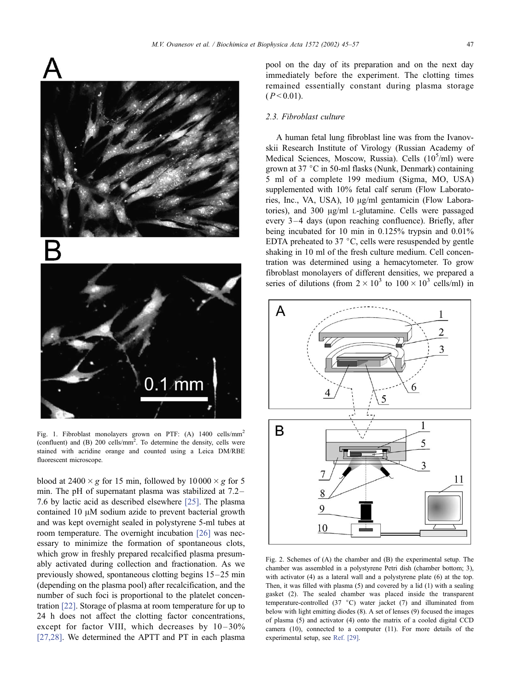<span id="page-2-0"></span>

Fig. 1. Fibroblast monolayers grown on PTF: (A) 1400 cells/mm<sup>2</sup> (confluent) and  $(B)$  200 cells/mm<sup>2</sup>. To determine the density, cells were stained with acridine orange and counted using a Leica DM/RBE fluorescent microscope.

blood at 2400  $\times$  g for 15 min, followed by 10000  $\times$  g for 5 min. The pH of supernatant plasma was stabilized at 7.2 – 7.6 by lactic acid as described elsewhere [\[25\].](#page-11-0) The plasma contained  $10 \mu M$  sodium azide to prevent bacterial growth and was kept overnight sealed in polystyrene 5-ml tubes at room temperature. The overnight incubation [\[26\]](#page-11-0) was necessary to minimize the formation of spontaneous clots, which grow in freshly prepared recalcified plasma presumably activated during collection and fractionation. As we previously showed, spontaneous clotting begins  $15-25$  min (depending on the plasma pool) after recalcification, and the number of such foci is proportional to the platelet concentration [\[22\]](#page-11-0). Storage of plasma at room temperature for up to 24 h does not affect the clotting factor concentrations, except for factor VIII, which decreases by  $10-30\%$ [\[27,28\].](#page-11-0) We determined the APTT and PT in each plasma

pool on the day of its preparation and on the next day immediately before the experiment. The clotting times remained essentially constant during plasma storage  $(P < 0.01)$ .

# 2.3. Fibroblast culture

A human fetal lung fibroblast line was from the Ivanovskii Research Institute of Virology (Russian Academy of Medical Sciences, Moscow, Russia). Cells (10<sup>5</sup>/ml) were grown at  $37 \degree$ C in 50-ml flasks (Nunk, Denmark) containing 5 ml of a complete 199 medium (Sigma, MO, USA) supplemented with 10% fetal calf serum (Flow Laboratories, Inc., VA, USA), 10  $\mu$ g/ml gentamicin (Flow Laboratories), and  $300 \mu g/ml$  L-glutamine. Cells were passaged every 3 –4 days (upon reaching confluence). Briefly, after being incubated for 10 min in 0.125% trypsin and 0.01% EDTA preheated to  $37 \degree C$ , cells were resuspended by gentle shaking in 10 ml of the fresh culture medium. Cell concentration was determined using a hemacytometer. To grow fibroblast monolayers of different densities, we prepared a series of dilutions (from  $2 \times 10^3$  to  $100 \times 10^3$  cells/ml) in



Fig. 2. Schemes of (A) the chamber and (B) the experimental setup. The chamber was assembled in a polystyrene Petri dish (chamber bottom; 3), with activator (4) as a lateral wall and a polystyrene plate (6) at the top. Then, it was filled with plasma (5) and covered by a lid (1) with a sealing gasket (2). The sealed chamber was placed inside the transparent temperature-controlled (37  $^{\circ}$ C) water jacket (7) and illuminated from below with light emitting diodes (8). A set of lenses (9) focused the images of plasma (5) and activator (4) onto the matrix of a cooled digital CCD camera (10), connected to a computer (11). For more details of the experimental setup, see [Ref. \[29\].](#page-11-0)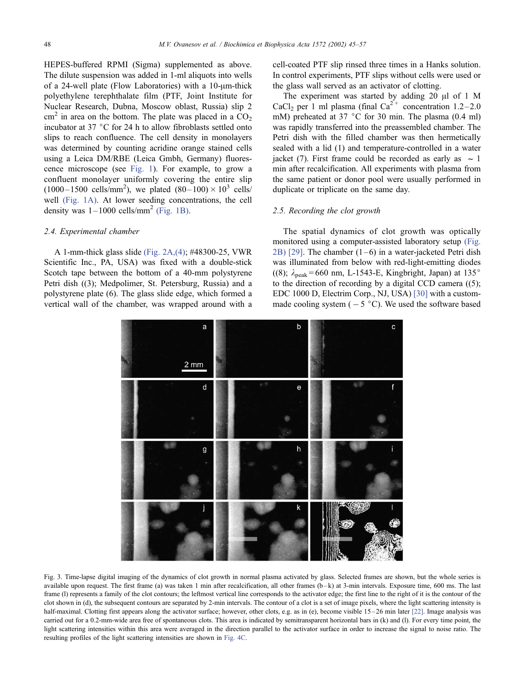<span id="page-3-0"></span>HEPES-buffered RPMI (Sigma) supplemented as above. The dilute suspension was added in 1-ml aliquots into wells of a 24-well plate (Flow Laboratories) with a  $10$ - $\mu$ m-thick polyethylene terephthalate film (PTF, Joint Institute for Nuclear Research, Dubna, Moscow oblast, Russia) slip 2  $cm<sup>2</sup>$  in area on the bottom. The plate was placed in a  $CO<sub>2</sub>$ incubator at 37 $\degree$ C for 24 h to allow fibroblasts settled onto slips to reach confluence. The cell density in monolayers was determined by counting acridine orange stained cells using a Leica DM/RBE (Leica Gmbh, Germany) fluorescence microscope (see [Fig. 1\)](#page-2-0). For example, to grow a confluent monolayer uniformly covering the entire slip  $(1000 - 1500 \text{ cells/mm}^2)$ , we plated  $(80 - 100) \times 10^3 \text{ cells}$ well [\(Fig. 1A\)](#page-2-0). At lower seeding concentrations, the cell density was  $1-1000$  cells/mm<sup>2</sup> [\(Fig. 1B\).](#page-2-0)

# 2.4. Experimental chamber

A 1-mm-thick glass slide [\(Fig. 2A,\(4\);](#page-2-0) #48300-25, VWR Scientific Inc., PA, USA) was fixed with a double-stick Scotch tape between the bottom of a 40-mm polystyrene Petri dish ((3); Medpolimer, St. Petersburg, Russia) and a polystyrene plate (6). The glass slide edge, which formed a vertical wall of the chamber, was wrapped around with a cell-coated PTF slip rinsed three times in a Hanks solution. In control experiments, PTF slips without cells were used or the glass wall served as an activator of clotting.

The experiment was started by adding 20  $\mu$ l of 1 M CaCl<sub>2</sub> per 1 ml plasma (final Ca<sup>2+</sup> concentration 1.2–2.0 mM) preheated at 37  $\degree$ C for 30 min. The plasma (0.4 ml) was rapidly transferred into the preassembled chamber. The Petri dish with the filled chamber was then hermetically sealed with a lid (1) and temperature-controlled in a water jacket (7). First frame could be recorded as early as  $\sim 1$ min after recalcification. All experiments with plasma from the same patient or donor pool were usually performed in duplicate or triplicate on the same day.

# 2.5. Recording the clot growth

The spatial dynamics of clot growth was optically monitored using a computer-assisted laboratory setup [\(Fig.](#page-2-0) 2B) [\[29\].](#page-11-0) The chamber  $(1-6)$  in a water-jacketed Petri dish was illuminated from below with red-light-emitting diodes ((8);  $\lambda_{\text{peak}} = 660 \text{ nm}$ , L-1543-E, Kingbright, Japan) at 135° to the direction of recording by a digital CCD camera  $((5))$ ; EDC 1000 D, Electrim Corp., NJ, USA) [\[30\]](#page-11-0) with a custommade cooling system  $(-5\degree C)$ . We used the software based



Fig. 3. Time-lapse digital imaging of the dynamics of clot growth in normal plasma activated by glass. Selected frames are shown, but the whole series is available upon request. The first frame (a) was taken 1 min after recalcification, all other frames  $(b-k)$  at 3-min intervals. Exposure time, 600 ms. The last frame (I) represents a family of the clot contours; the leftmost vertical line corresponds to the activator edge; the first line to the right of it is the contour of the clot shown in (d), the subsequent contours are separated by 2-min intervals. The contour of a clot is a set of image pixels, where the light scattering intensity is half-maximal. Clotting first appears along the activator surface; however, other clots, e.g. as in (e), become visible 15–26 min later [\[22\].](#page-11-0) Image analysis was carried out for a 0.2-mm-wide area free of spontaneous clots. This area is indicated by semitransparent horizontal bars in (k) and (l). For every time point, the light scattering intensities within this area were averaged in the direction parallel to the activator surface in order to increase the signal to noise ratio. The resulting profiles of the light scattering intensities are shown in [Fig. 4C.](#page-4-0)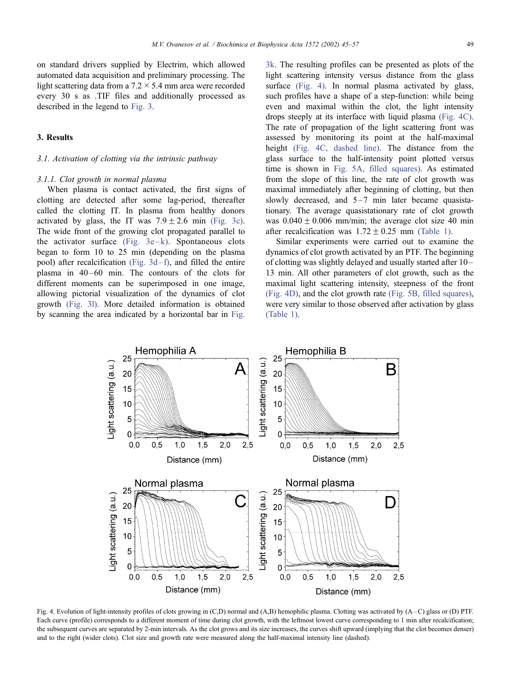<span id="page-4-0"></span>on standard drivers supplied by Electrim, which allowed automated data acquisition and preliminary processing. The light scattering data from a  $7.2 \times 5.4$  mm area were recorded every 30 s as .TIF files and additionally processed as described in the legend to [Fig. 3.](#page-3-0)

## 3. Results

#### 3.1. Activation of clotting via the intrinsic pathway

#### 3.1.1. Clot growth in normal plasma

When plasma is contact activated, the first signs of clotting are detected after some lag-period, thereafter called the clotting IT. In plasma from healthy donors activated by glass, the IT was  $7.9 \pm 2.6$  min [\(Fig. 3c\).](#page-3-0) The wide front of the growing clot propagated parallel to the activator surface  $(Fig, 3e-k)$ . Spontaneous clots began to form 10 to 25 min (depending on the plasma pool) after recalcification (Fig.  $3d-f$ ), and filled the entire plasma in 40-60 min. The contours of the clots for different moments can be superimposed in one image, allowing pictorial visualization of the dynamics of clot growth [\(Fig. 3l\).](#page-3-0) More detailed information is obtained by scanning the area indicated by a horizontal bar in [Fig.](#page-3-0)

3k. The resulting profiles can be presented as plots of the light scattering intensity versus distance from the glass surface (Fig. 4). In normal plasma activated by glass, such profiles have a shape of a step-function: while being even and maximal within the clot, the light intensity drops steeply at its interface with liquid plasma (Fig. 4C). The rate of propagation of the light scattering front was assessed by monitoring its point at the half-maximal height (Fig. 4C, dashed line). The distance from the glass surface to the half-intensity point plotted versus time is shown in [Fig. 5A, filled squares\).](#page-5-0) As estimated from the slope of this line, the rate of clot growth was maximal immediately after beginning of clotting, but then slowly decreased, and  $5-7$  min later became quasistationary. The average quasistationary rate of clot growth was  $0.040 \pm 0.006$  mm/min; the average clot size 40 min after recalcification was  $1.72 \pm 0.25$  mm [\(Table 1\).](#page-6-0)

Similar experiments were carried out to examine the dynamics of clot growth activated by an PTF. The beginning of clotting was slightly delayed and usually started after 10– 13 min. All other parameters of clot growth, such as the maximal light scattering intensity, steepness of the front (Fig. 4D), and the clot growth rate [\(Fig. 5B, filled squares\),](#page-5-0) were very similar to those observed after activation by glass [\(Table 1\).](#page-6-0)



Fig. 4. Evolution of light-intensity profiles of clots growing in (C,D) normal and (A,B) hemophilic plasma. Clotting was activated by (A –C) glass or (D) PTF. Each curve (profile) corresponds to a different moment of time during clot growth, with the leftmost lowest curve corresponding to 1 min after recalcification; the subsequent curves are separated by 2-min intervals. As the clot grows and its size increases, the curves shift upward (implying that the clot becomes denser) and to the right (wider clots). Clot size and growth rate were measured along the half-maximal intensity line (dashed).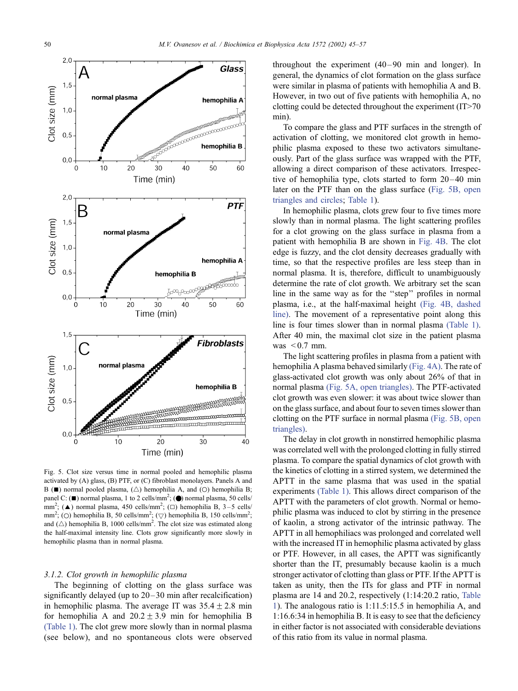<span id="page-5-0"></span>

Fig. 5. Clot size versus time in normal pooled and hemophilic plasma activated by (A) glass, (B) PTF, or (C) fibroblast monolayers. Panels A and B ( $\blacksquare$ ) normal pooled plasma,  $(\triangle)$  hemophilia A, and  $(O)$  hemophilia B; panel C: ( $\blacksquare$ ) normal plasma, 1 to 2 cells/mm<sup>2</sup>; ( $\spadesuit$ ) normal plasma, 50 cells/ mm<sup>2</sup>; ( $\triangle$ ) normal plasma, 450 cells/mm<sup>2</sup>; ( $\square$ ) hemophilia B, 3-5 cells/ mm<sup>2</sup>; (O) hemophilia B, 50 cells/mm<sup>2</sup>; ( $\bigtriangledown$ ) hemophilia B, 150 cells/mm<sup>2</sup>; and  $(\triangle)$  hemophilia B, 1000 cells/mm<sup>2</sup>. The clot size was estimated along the half-maximal intensity line. Clots grow significantly more slowly in hemophilic plasma than in normal plasma.

#### 3.1.2. Clot growth in hemophilic plasma

The beginning of clotting on the glass surface was significantly delayed (up to  $20-30$  min after recalcification) in hemophilic plasma. The average IT was  $35.4 \pm 2.8$  min for hemophilia A and  $20.2 \pm 3.9$  min for hemophilia B [\(Table 1\).](#page-6-0) The clot grew more slowly than in normal plasma (see below), and no spontaneous clots were observed throughout the experiment  $(40-90)$  min and longer). In general, the dynamics of clot formation on the glass surface were similar in plasma of patients with hemophilia A and B. However, in two out of five patients with hemophilia A, no clotting could be detected throughout the experiment (IT>70 min).

To compare the glass and PTF surfaces in the strength of activation of clotting, we monitored clot growth in hemophilic plasma exposed to these two activators simultaneously. Part of the glass surface was wrapped with the PTF, allowing a direct comparison of these activators. Irrespective of hemophilia type, clots started to form  $20-40$  min later on the PTF than on the glass surface (Fig. 5B, open triangles and circles; [Table 1\)](#page-6-0).

In hemophilic plasma, clots grew four to five times more slowly than in normal plasma. The light scattering profiles for a clot growing on the glass surface in plasma from a patient with hemophilia B are shown in [Fig. 4B.](#page-4-0) The clot edge is fuzzy, and the clot density decreases gradually with time, so that the respective profiles are less steep than in normal plasma. It is, therefore, difficult to unambiguously determine the rate of clot growth. We arbitrary set the scan line in the same way as for the ''step'' profiles in normal plasma, i.e., at the half-maximal height [\(Fig. 4B, dashed](#page-4-0) line). The movement of a representative point along this line is four times slower than in normal plasma [\(Table 1\).](#page-6-0) After 40 min, the maximal clot size in the patient plasma was  $\leq 0.7$  mm.

The light scattering profiles in plasma from a patient with hemophilia A plasma behaved similarly [\(Fig. 4A\).](#page-4-0) The rate of glass-activated clot growth was only about 26% of that in normal plasma (Fig. 5A, open triangles). The PTF-activated clot growth was even slower: it was about twice slower than on the glass surface, and about four to seven times slower than clotting on the PTF surface in normal plasma (Fig. 5B, open triangles).

The delay in clot growth in nonstirred hemophilic plasma was correlated well with the prolonged clotting in fully stirred plasma. To compare the spatial dynamics of clot growth with the kinetics of clotting in a stirred system, we determined the APTT in the same plasma that was used in the spatial experiments [\(Table 1\).](#page-6-0) This allows direct comparison of the APTT with the parameters of clot growth. Normal or hemophilic plasma was induced to clot by stirring in the presence of kaolin, a strong activator of the intrinsic pathway. The APTT in all hemophiliacs was prolonged and correlated well with the increased IT in hemophilic plasma activated by glass or PTF. However, in all cases, the APTT was significantly shorter than the IT, presumably because kaolin is a much stronger activator of clotting than glass or PTF. If the APTT is taken as unity, then the ITs for glass and PTF in normal plasma are 14 and 20.2, respectively (1:14:20.2 ratio, [Table](#page-6-0) 1). The analogous ratio is 1:11.5:15.5 in hemophilia A, and 1:16.6:34 in hemophilia B. It is easy to see that the deficiency in either factor is not associated with considerable deviations of this ratio from its value in normal plasma.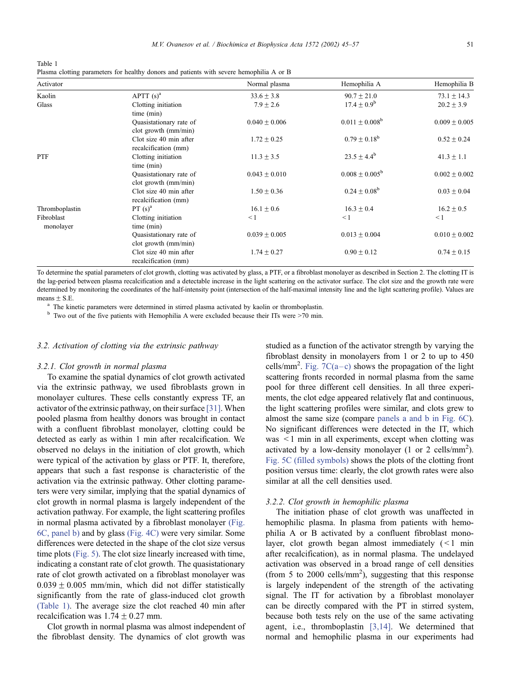M.V. Ovanesov et al. / Biochimica et Biophysica Acta 1572 (2002) 45–57 51

<span id="page-6-0"></span>Table 1

| Plasma clotting parameters for healthy donors and patients with severe hemophilia A or B |  |  |  |
|------------------------------------------------------------------------------------------|--|--|--|
|------------------------------------------------------------------------------------------|--|--|--|

| Activator               |                                                    | Normal plasma     | Hemophilia A            | Hemophilia B      |
|-------------------------|----------------------------------------------------|-------------------|-------------------------|-------------------|
| Kaolin                  | APTT $(s)^a$                                       | $33.6 \pm 3.8$    | $90.7 + 21.0$           | $73.1 \pm 14.3$   |
| Glass                   | Clotting initiation                                | $7.9 \pm 2.6$     | $17.4 + 0.9^b$          | $20.2 \pm 3.9$    |
|                         | time (min)                                         |                   |                         |                   |
|                         | Quasistationary rate of<br>$dot$ growth $(mm/min)$ | $0.040 \pm 0.006$ | $0.011 \pm 0.008^b$     | $0.009 \pm 0.005$ |
|                         | Clot size 40 min after<br>recalcification (mm)     | $1.72 \pm 0.25$   | $0.79 \pm 0.18^b$       | $0.52 \pm 0.24$   |
| PTF                     | Clotting initiation<br>time (min)                  | $11.3 \pm 3.5$    | $23.5 \pm 4.4^b$        | $41.3 \pm 1.1$    |
|                         | Quasistationary rate of<br>$dot$ growth $(mm/min)$ | $0.043 \pm 0.010$ | $0.008 + 0.005^{\rm b}$ | $0.002 \pm 0.002$ |
|                         | Clot size 40 min after<br>recalcification (mm)     | $1.50 \pm 0.36$   | $0.24 \pm 0.08^b$       | $0.03 \pm 0.04$   |
| Thromboplastin          | PT $(s)^a$                                         | $16.1 \pm 0.6$    | $16.3 \pm 0.4$          | $16.2 \pm 0.5$    |
| Fibroblast<br>monolayer | Clotting initiation<br>time (min)                  | $\leq 1$          | $\leq 1$                | $\leq$ 1          |
|                         | Quasistationary rate of<br>$dot$ growth $(mm/min)$ | $0.039 \pm 0.005$ | $0.013 \pm 0.004$       | $0.010 \pm 0.002$ |
|                         | Clot size 40 min after<br>recalcification (mm)     | $1.74 \pm 0.27$   | $0.90 \pm 0.12$         | $0.74 \pm 0.15$   |

To determine the spatial parameters of clot growth, clotting was activated by glass, a PTF, or a fibroblast monolayer as described in Section 2. The clotting IT is the lag-period between plasma recalcification and a detectable increase in the light scattering on the activator surface. The clot size and the growth rate were determined by monitoring the coordinates of the half-intensity point (intersection of the half-maximal intensity line and the light scattering profile). Values are  $means + S.E.$ 

<sup>a</sup> The kinetic parameters were determined in stirred plasma activated by kaolin or thromboplastin. b Two out of the five patients with Hemophilia A were excluded because their ITs were >70 min.

# 3.2. Activation of clotting via the extrinsic pathway

## 3.2.1. Clot growth in normal plasma

To examine the spatial dynamics of clot growth activated via the extrinsic pathway, we used fibroblasts grown in monolayer cultures. These cells constantly express TF, an activator of the extrinsic pathway, on their surface [\[31\].](#page-11-0) When pooled plasma from healthy donors was brought in contact with a confluent fibroblast monolayer, clotting could be detected as early as within 1 min after recalcification. We observed no delays in the initiation of clot growth, which were typical of the activation by glass or PTF. It, therefore, appears that such a fast response is characteristic of the activation via the extrinsic pathway. Other clotting parameters were very similar, implying that the spatial dynamics of clot growth in normal plasma is largely independent of the activation pathway. For example, the light scattering profiles in normal plasma activated by a fibroblast monolayer [\(Fig.](#page-7-0) 6C, panel b) and by glass [\(Fig. 4C\)](#page-4-0) were very similar. Some differences were detected in the shape of the clot size versus time plots [\(Fig. 5\).](#page-5-0) The clot size linearly increased with time, indicating a constant rate of clot growth. The quasistationary rate of clot growth activated on a fibroblast monolayer was  $0.039 \pm 0.005$  mm/min, which did not differ statistically significantly from the rate of glass-induced clot growth (Table 1). The average size the clot reached 40 min after recalcification was  $1.74 \pm 0.27$  mm.

Clot growth in normal plasma was almost independent of the fibroblast density. The dynamics of clot growth was

studied as a function of the activator strength by varying the fibroblast density in monolayers from 1 or 2 to up to 450 cells/mm<sup>2</sup>. Fig. 7C(a-c) shows the propagation of the light scattering fronts recorded in normal plasma from the same pool for three different cell densities. In all three experiments, the clot edge appeared relatively flat and continuous, the light scattering profiles were similar, and clots grew to almost the same size (compare [panels a and b in Fig. 6C\)](#page-7-0). No significant differences were detected in the IT, which was < 1 min in all experiments, except when clotting was activated by a low-density monolayer (1 or 2 cells/mm<sup>2</sup>). [Fig. 5C \(filled symbols\)](#page-5-0) shows the plots of the clotting front position versus time: clearly, the clot growth rates were also similar at all the cell densities used.

#### 3.2.2. Clot growth in hemophilic plasma

The initiation phase of clot growth was unaffected in hemophilic plasma. In plasma from patients with hemophilia A or B activated by a confluent fibroblast monolayer, clot growth began almost immediately  $\left($  < 1 min after recalcification), as in normal plasma. The undelayed activation was observed in a broad range of cell densities (from 5 to 2000 cells/ $mm<sup>2</sup>$ ), suggesting that this response is largely independent of the strength of the activating signal. The IT for activation by a fibroblast monolayer can be directly compared with the PT in stirred system, because both tests rely on the use of the same activating agent, i.e., thromboplastin [\[3,14\].](#page-11-0) We determined that normal and hemophilic plasma in our experiments had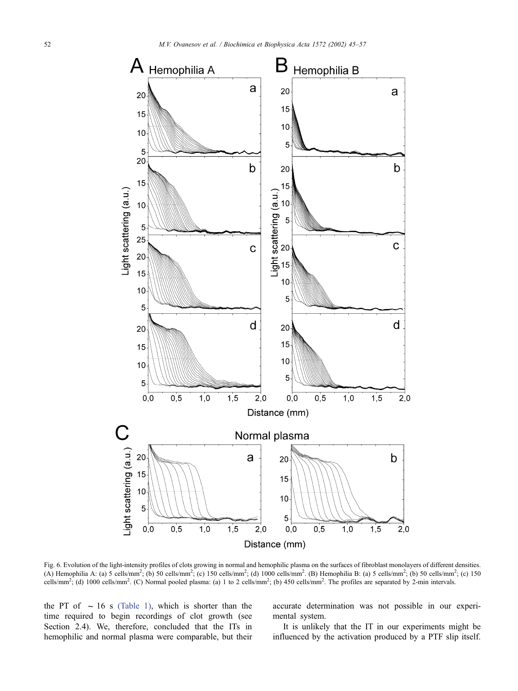<span id="page-7-0"></span>

Fig. 6. Evolution of the light-intensity profiles of clots growing in normal and hemophilic plasma on the surfaces of fibroblast monolayers of different densities. (A) Hemophilia A: (a) 5 cells/mm<sup>2</sup>; (b) 50 cells/mm<sup>2</sup>; (c) 150 cells/mm<sup>2</sup>; (d) 1000 cells/mm<sup>2</sup>. (B) Hemophilia B: (a) 5 cells/mm<sup>2</sup>; (b) 50 cells/mm<sup>2</sup>; (c) 150 cells/mm<sup>2</sup>; (d) 1000 cells/mm<sup>2</sup>. (C) Normal pooled plasma: (a) 1 to 2 cells/mm<sup>2</sup>; (b) 450 cells/mm<sup>2</sup>. The profiles are separated by 2-min intervals.

the PT of  $\sim 16$  s [\(Table 1\),](#page-6-0) which is shorter than the time required to begin recordings of clot growth (see Section 2.4). We, therefore, concluded that the ITs in hemophilic and normal plasma were comparable, but their accurate determination was not possible in our experimental system.

It is unlikely that the IT in our experiments might be influenced by the activation produced by a PTF slip itself.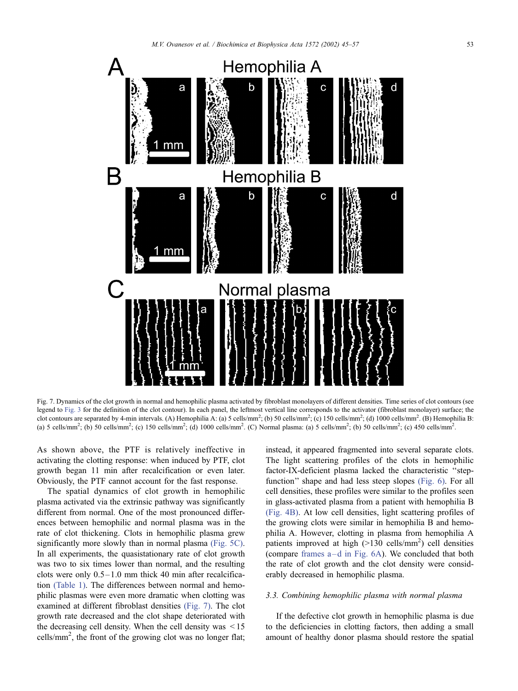<span id="page-8-0"></span>

Fig. 7. Dynamics of the clot growth in normal and hemophilic plasma activated by fibroblast monolayers of different densities. Time series of clot contours (see legend to [Fig. 3](#page-3-0) for the definition of the clot contour). In each panel, the leftmost vertical line corresponds to the activator (fibroblast monolayer) surface; the clot contours are separated by 4-min intervals. (A) Hemophilia A: (a) 5 cells/mm<sup>2</sup>; (b) 50 cells/mm<sup>2</sup>; (c) 150 cells/mm<sup>2</sup>; (d) 1000 cells/mm<sup>2</sup>. (B) Hemophilia B: (a) 5 cells/mm<sup>2</sup>; (b) 50 cells/mm<sup>2</sup>; (c) 150 cells/mm<sup>2</sup>; (d) 1000 cells/mm<sup>2</sup>. (C) Normal plasma: (a) 5 cells/mm<sup>2</sup>; (b) 50 cells/mm<sup>2</sup>; (c) 450 cells/mm<sup>2</sup>.

As shown above, the PTF is relatively ineffective in activating the clotting response: when induced by PTF, clot growth began 11 min after recalcification or even later. Obviously, the PTF cannot account for the fast response.

The spatial dynamics of clot growth in hemophilic plasma activated via the extrinsic pathway was significantly different from normal. One of the most pronounced differences between hemophilic and normal plasma was in the rate of clot thickening. Clots in hemophilic plasma grew significantly more slowly than in normal plasma [\(Fig. 5C\).](#page-5-0) In all experiments, the quasistationary rate of clot growth was two to six times lower than normal, and the resulting clots were only  $0.5 - 1.0$  mm thick 40 min after recalcification [\(Table 1\).](#page-6-0) The differences between normal and hemophilic plasmas were even more dramatic when clotting was examined at different fibroblast densities (Fig. 7). The clot growth rate decreased and the clot shape deteriorated with the decreasing cell density. When the cell density was < 15 cells/mm2 , the front of the growing clot was no longer flat;

instead, it appeared fragmented into several separate clots. The light scattering profiles of the clots in hemophilic factor-IX-deficient plasma lacked the characteristic ''stepfunction'' shape and had less steep slopes [\(Fig. 6\).](#page-7-0) For all cell densities, these profiles were similar to the profiles seen in glass-activated plasma from a patient with hemophilia B [\(Fig. 4B\).](#page-4-0) At low cell densities, light scattering profiles of the growing clots were similar in hemophilia B and hemophilia A. However, clotting in plasma from hemophilia A patients improved at high  $(>130 \text{ cells/mm}^2)$  cell densities (compare [frames a –d in Fig. 6A\)](#page-7-0). We concluded that both the rate of clot growth and the clot density were considerably decreased in hemophilic plasma.

#### 3.3. Combining hemophilic plasma with normal plasma

If the defective clot growth in hemophilic plasma is due to the deficiencies in clotting factors, then adding a small amount of healthy donor plasma should restore the spatial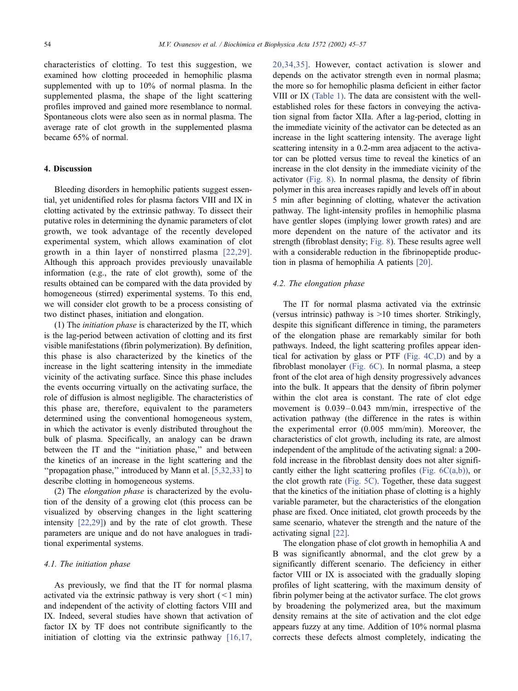characteristics of clotting. To test this suggestion, we examined how clotting proceeded in hemophilic plasma supplemented with up to 10% of normal plasma. In the supplemented plasma, the shape of the light scattering profiles improved and gained more resemblance to normal. Spontaneous clots were also seen as in normal plasma. The average rate of clot growth in the supplemented plasma became 65% of normal.

# 4. Discussion

Bleeding disorders in hemophilic patients suggest essential, yet unidentified roles for plasma factors VIII and IX in clotting activated by the extrinsic pathway. To dissect their putative roles in determining the dynamic parameters of clot growth, we took advantage of the recently developed experimental system, which allows examination of clot growth in a thin layer of nonstirred plasma [\[22,29\].](#page-11-0) Although this approach provides previously unavailable information (e.g., the rate of clot growth), some of the results obtained can be compared with the data provided by homogeneous (stirred) experimental systems. To this end, we will consider clot growth to be a process consisting of two distinct phases, initiation and elongation.

(1) The initiation phase is characterized by the IT, which is the lag-period between activation of clotting and its first visible manifestations (fibrin polymerization). By definition, this phase is also characterized by the kinetics of the increase in the light scattering intensity in the immediate vicinity of the activating surface. Since this phase includes the events occurring virtually on the activating surface, the role of diffusion is almost negligible. The characteristics of this phase are, therefore, equivalent to the parameters determined using the conventional homogeneous system, in which the activator is evenly distributed throughout the bulk of plasma. Specifically, an analogy can be drawn between the IT and the "initiation phase," and between the kinetics of an increase in the light scattering and the ''propagation phase,'' introduced by Mann et al. [\[5,32,33\]](#page-11-0) to describe clotting in homogeneous systems.

(2) The elongation phase is characterized by the evolution of the density of a growing clot (this process can be visualized by observing changes in the light scattering intensity [\[22,29\]\)](#page-11-0) and by the rate of clot growth. These parameters are unique and do not have analogues in traditional experimental systems.

## 4.1. The initiation phase

As previously, we find that the IT for normal plasma activated via the extrinsic pathway is very short  $($  < 1 min) and independent of the activity of clotting factors VIII and IX. Indeed, several studies have shown that activation of factor IX by TF does not contribute significantly to the initiation of clotting via the extrinsic pathway [\[16,17,](#page-11-0)

20,34,35]. However, contact activation is slower and depends on the activator strength even in normal plasma; the more so for hemophilic plasma deficient in either factor VIII or IX [\(Table 1\).](#page-6-0) The data are consistent with the wellestablished roles for these factors in conveying the activation signal from factor XIIa. After a lag-period, clotting in the immediate vicinity of the activator can be detected as an increase in the light scattering intensity. The average light scattering intensity in a 0.2-mm area adjacent to the activator can be plotted versus time to reveal the kinetics of an increase in the clot density in the immediate vicinity of the activator [\(Fig. 8\).](#page-10-0) In normal plasma, the density of fibrin polymer in this area increases rapidly and levels off in about 5 min after beginning of clotting, whatever the activation pathway. The light-intensity profiles in hemophilic plasma have gentler slopes (implying lower growth rates) and are more dependent on the nature of the activator and its strength (fibroblast density; [Fig. 8\)](#page-10-0). These results agree well with a considerable reduction in the fibrinopeptide production in plasma of hemophilia A patients [\[20\].](#page-11-0)

## 4.2. The elongation phase

The IT for normal plasma activated via the extrinsic (versus intrinsic) pathway is >10 times shorter. Strikingly, despite this significant difference in timing, the parameters of the elongation phase are remarkably similar for both pathways. Indeed, the light scattering profiles appear identical for activation by glass or PTF [\(Fig. 4C,D\)](#page-4-0) and by a fibroblast monolayer [\(Fig. 6C\).](#page-7-0) In normal plasma, a steep front of the clot area of high density progressively advances into the bulk. It appears that the density of fibrin polymer within the clot area is constant. The rate of clot edge movement is  $0.039 - 0.043$  mm/min, irrespective of the activation pathway (the difference in the rates is within the experimental error (0.005 mm/min). Moreover, the characteristics of clot growth, including its rate, are almost independent of the amplitude of the activating signal: a 200 fold increase in the fibroblast density does not alter significantly either the light scattering profiles (Fig.  $6C(a,b)$ ), or the clot growth rate [\(Fig. 5C\).](#page-5-0) Together, these data suggest that the kinetics of the initiation phase of clotting is a highly variable parameter, but the characteristics of the elongation phase are fixed. Once initiated, clot growth proceeds by the same scenario, whatever the strength and the nature of the activating signal [\[22\].](#page-11-0)

The elongation phase of clot growth in hemophilia A and B was significantly abnormal, and the clot grew by a significantly different scenario. The deficiency in either factor VIII or IX is associated with the gradually sloping profiles of light scattering, with the maximum density of fibrin polymer being at the activator surface. The clot grows by broadening the polymerized area, but the maximum density remains at the site of activation and the clot edge appears fuzzy at any time. Addition of 10% normal plasma corrects these defects almost completely, indicating the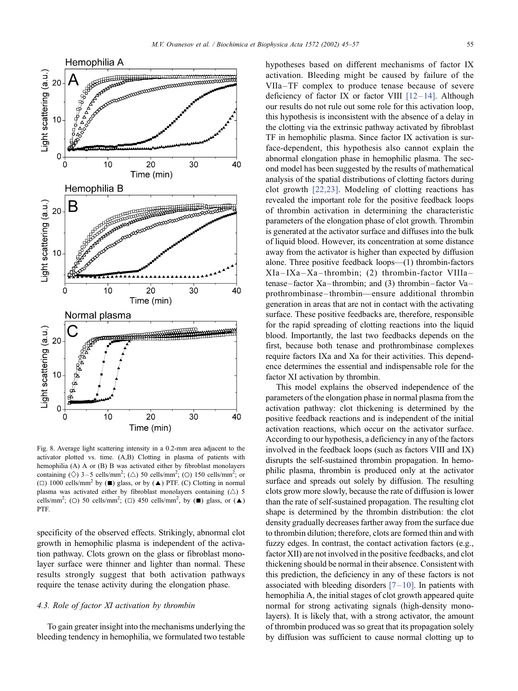<span id="page-10-0"></span>

Fig. 8. Average light scattering intensity in a 0.2-mm area adjacent to the activator plotted vs. time. (A,B) Clotting in plasma of patients with hemophilia (A) A or (B) B was activated either by fibroblast monolayers containing ( $\Diamond$ ) 3-5 cells/mm<sup>2</sup>; ( $\triangle$ ) 50 cells/mm<sup>2</sup>; ( $\Diamond$ ) 150 cells/mm<sup>2</sup>; or ( $\Box$ ) 1000 cells/mm<sup>2</sup> by ( $\blacksquare$ ) glass, or by ( $\blacktriangle$ ) PTF. (C) Clotting in normal plasma was activated either by fibroblast monolayers containing  $(\triangle)$  5 cells/mm<sup>2</sup>; (O) 50 cells/mm<sup>2</sup>; ( $\square$ ) 450 cells/mm<sup>2</sup>, by ( $\blacksquare$ ) glass, or ( $\blacktriangle$ ) PTF.

specificity of the observed effects. Strikingly, abnormal clot growth in hemophilic plasma is independent of the activation pathway. Clots grown on the glass or fibroblast monolayer surface were thinner and lighter than normal. These results strongly suggest that both activation pathways require the tenase activity during the elongation phase.

# 4.3. Role of factor XI activation by thrombin

To gain greater insight into the mechanisms underlying the bleeding tendency in hemophilia, we formulated two testable hypotheses based on different mechanisms of factor IX activation. Bleeding might be caused by failure of the VIIa –TF complex to produce tenase because of severe deficiency of factor IX or factor VIII  $[12-14]$ . Although our results do not rule out some role for this activation loop, this hypothesis is inconsistent with the absence of a delay in the clotting via the extrinsic pathway activated by fibroblast TF in hemophilic plasma. Since factor IX activation is surface-dependent, this hypothesis also cannot explain the abnormal elongation phase in hemophilic plasma. The second model has been suggested by the results of mathematical analysis of the spatial distributions of clotting factors during clot growth [\[22,23\].](#page-11-0) Modeling of clotting reactions has revealed the important role for the positive feedback loops of thrombin activation in determining the characteristic parameters of the elongation phase of clot growth. Thrombin is generated at the activator surface and diffuses into the bulk of liquid blood. However, its concentration at some distance away from the activator is higher than expected by diffusion alone. Three positive feedback loops—(1) thrombin-factors XIa – IXa –Xa –thrombin; (2) thrombin-factor VIIIa – tenase–factor Xa–thrombin; and (3) thrombin–factor Va– prothrombinase –thrombin—ensure additional thrombin generation in areas that are not in contact with the activating surface. These positive feedbacks are, therefore, responsible for the rapid spreading of clotting reactions into the liquid blood. Importantly, the last two feedbacks depends on the first, because both tenase and prothrombinase complexes require factors IXa and Xa for their activities. This dependence determines the essential and indispensable role for the factor XI activation by thrombin.

This model explains the observed independence of the parameters of the elongation phase in normal plasma from the activation pathway: clot thickening is determined by the positive feedback reactions and is independent of the initial activation reactions, which occur on the activator surface. According to our hypothesis, a deficiency in any of the factors involved in the feedback loops (such as factors VIII and IX) disrupts the self-sustained thrombin propagation. In hemophilic plasma, thrombin is produced only at the activator surface and spreads out solely by diffusion. The resulting clots grow more slowly, because the rate of diffusion is lower than the rate of self-sustained propagation. The resulting clot shape is determined by the thrombin distribution: the clot density gradually decreases farther away from the surface due to thrombin dilution; therefore, clots are formed thin and with fuzzy edges. In contrast, the contact activation factors (e.g., factor XII) are not involved in the positive feedbacks, and clot thickening should be normal in their absence. Consistent with this prediction, the deficiency in any of these factors is not associated with bleeding disorders  $[7-10]$ . In patients with hemophilia A, the initial stages of clot growth appeared quite normal for strong activating signals (high-density monolayers). It is likely that, with a strong activator, the amount of thrombin produced was so great that its propagation solely by diffusion was sufficient to cause normal clotting up to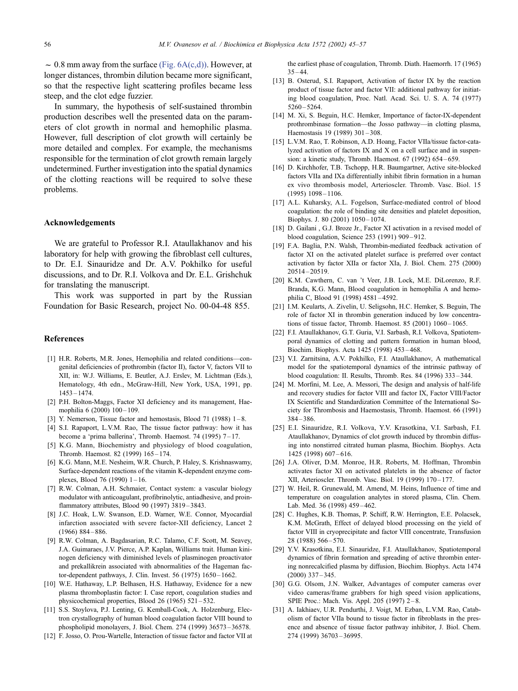<span id="page-11-0"></span> $\sim 0.8$  mm away from the surface [\(Fig. 6A\(c,d\)\).](#page-7-0) However, at longer distances, thrombin dilution became more significant, so that the respective light scattering profiles became less steep, and the clot edge fuzzier.

In summary, the hypothesis of self-sustained thrombin production describes well the presented data on the parameters of clot growth in normal and hemophilic plasma. However, full description of clot growth will certainly be more detailed and complex. For example, the mechanisms responsible for the termination of clot growth remain largely undetermined. Further investigation into the spatial dynamics of the clotting reactions will be required to solve these problems.

#### Acknowledgements

We are grateful to Professor R.I. Ataullakhanov and his laboratory for help with growing the fibroblast cell cultures, to Dr. E.I. Sinauridze and Dr. A.V. Pokhilko for useful discussions, and to Dr. R.I. Volkova and Dr. E.L. Grishchuk for translating the manuscript.

This work was supported in part by the Russian Foundation for Basic Research, project No. 00-04-48 855.

## References

- [1] H.R. Roberts, M.R. Jones, Hemophilia and related conditions—congenital deficiencies of prothrombin (factor II), factor V, factors VII to XII, in: W.J. Williams, E. Beutler, A.J. Erslev, M. Lichtman (Eds.), Hematology, 4th edn., McGraw-Hill, New York, USA, 1991, pp. 1453 – 1474.
- [2] P.H. Bolton-Maggs, Factor XI deficiency and its management, Haemophilia 6 (2000) 100-109.
- [3] Y. Nemerson, Tissue factor and hemostasis, Blood 71 (1988)  $1-8$ .
- [4] S.I. Rapaport, L.V.M. Rao, The tissue factor pathway: how it has become a 'prima ballerina', Thromb. Haemost. 74 (1995) 7-17.
- [5] K.G. Mann, Biochemistry and physiology of blood coagulation, Thromb. Haemost. 82 (1999) 165 – 174.
- [6] K.G. Mann, M.E. Nesheim, W.R. Church, P. Haley, S. Krishnaswamy, Surface-dependent reactions of the vitamin K-dependent enzyme complexes, Blood 76 (1990) 1 – 16.
- [7] R.W. Colman, A.H. Schmaier, Contact system: a vascular biology modulator with anticoagulant, profibrinolytic, antiadhesive, and proinflammatory attributes, Blood 90 (1997) 3819 – 3843.
- [8] J.C. Hoak, L.W. Swanson, E.D. Warner, W.E. Connor, Myocardial infarction associated with severe factor-XII deficiency, Lancet 2  $(1966)$  884 – 886
- [9] R.W. Colman, A. Bagdasarian, R.C. Talamo, C.F. Scott, M. Seavey, J.A. Guimaraes, J.V. Pierce, A.P. Kaplan, Williams trait. Human kininogen deficiency with diminished levels of plasminogen proactivator and prekallikrein associated with abnormalities of the Hageman factor-dependent pathways, J. Clin. Invest. 56 (1975) 1650 – 1662.
- [10] W.E. Hathaway, L.P. Belhasen, H.S. Hathaway, Evidence for a new plasma thromboplastin factor: I. Case report, coagulation studies and physicochemical properties, Blood 26 (1965)  $521 - 532$ .
- [11] S.S. Stoylova, P.J. Lenting, G. Kemball-Cook, A. Holzenburg, Electron crystallography of human blood coagulation factor VIII bound to phospholipid monolayers, J. Biol. Chem. 274 (1999) 36573 – 36578.
- [12] F. Josso, O. Prou-Wartelle, Interaction of tissue factor and factor VII at

the earliest phase of coagulation, Thromb. Diath. Haemorrh. 17 (1965)  $35 - 44$ 

- [13] B. Osterud, S.I. Rapaport, Activation of factor IX by the reaction product of tissue factor and factor VII: additional pathway for initiating blood coagulation, Proc. Natl. Acad. Sci. U. S. A. 74 (1977)  $5260 - 5264$
- [14] M. Xi, S. Beguin, H.C. Hemker, Importance of factor-IX-dependent prothrombinase formation—the Josso pathway—in clotting plasma, Haemostasis 19 (1989) 301-308.
- [15] L.V.M. Rao, T. Robinson, A.D. Hoang, Factor VIIa/tissue factor-catalyzed activation of factors IX and X on a cell surface and in suspension: a kinetic study, Thromb. Haemost. 67 (1992) 654 – 659.
- [16] D. Kirchhofer, T.B. Tschopp, H.R. Baumgartner, Active site-blocked factors VIIa and IXa differentially inhibit fibrin formation in a human ex vivo thrombosis model, Arterioscler. Thromb. Vasc. Biol. 15  $(1995)$   $1098 - 1106$ .
- [17] A.L. Kuharsky, A.L. Fogelson, Surface-mediated control of blood coagulation: the role of binding site densities and platelet deposition, Biophys. J. 80 (2001) 1050-1074.
- [18] D. Gailani, G.J. Broze Jr., Factor XI activation in a revised model of blood coagulation, Science 253 (1991) 909 – 912.
- [19] F.A. Baglia, P.N. Walsh, Thrombin-mediated feedback activation of factor XI on the activated platelet surface is preferred over contact activation by factor XIIa or factor XIa, J. Biol. Chem. 275 (2000) 20514 – 20519.
- [20] K.M. Cawthern, C. van 't Veer, J.B. Lock, M.E. DiLorenzo, R.F. Branda, K.G. Mann, Blood coagulation in hemophilia A and hemophilia C, Blood 91 (1998) 4581 – 4592.
- [21] I.M. Keularts, A. Zivelin, U. Seligsohn, H.C. Hemker, S. Beguin, The role of factor XI in thrombin generation induced by low concentrations of tissue factor, Thromb. Haemost. 85 (2001) 1060-1065.
- [22] F.I. Ataullakhanov, G.T. Guria, V.I. Sarbash, R.I. Volkova, Spatiotemporal dynamics of clotting and pattern formation in human blood, Biochim. Biophys. Acta 1425 (1998) 453 – 468.
- [23] V.I. Zarnitsina, A.V. Pokhilko, F.I. Ataullakhanov, A mathematical model for the spatiotemporal dynamics of the intrinsic pathway of blood coagulation: II. Results, Thromb. Res. 84 (1996) 333 – 344.
- [24] M. Morfini, M. Lee, A. Messori, The design and analysis of half-life and recovery studies for factor VIII and factor IX, Factor VIII/Factor IX Scientific and Standardization Committee of the International Society for Thrombosis and Haemostasis, Thromb. Haemost. 66 (1991)  $384 - 386$
- [25] E.I. Sinauridze, R.I. Volkova, Y.V. Krasotkina, V.I. Sarbash, F.I. Ataullakhanov, Dynamics of clot growth induced by thrombin diffusing into nonstirred citrated human plasma, Biochim. Biophys. Acta 1425 (1998) 607 – 616.
- [26] J.A. Oliver, D.M. Monroe, H.R. Roberts, M. Hoffman, Thrombin activates factor XI on activated platelets in the absence of factor XII, Arterioscler. Thromb. Vasc. Biol. 19 (1999) 170 – 177.
- [27] W. Heil, R. Grunewald, M. Amend, M. Heins, Influence of time and temperature on coagulation analytes in stored plasma, Clin. Chem. Lab. Med. 36 (1998) 459-462.
- [28] C. Hughes, K.B. Thomas, P. Schiff, R.W. Herrington, E.E. Polacsek, K.M. McGrath, Effect of delayed blood processing on the yield of factor VIII in cryoprecipitate and factor VIII concentrate, Transfusion 28 (1988) 566 – 570.
- [29] Y.V. Krasotkina, E.I. Sinauridze, F.I. Ataullakhanov, Spatiotemporal dynamics of fibrin formation and spreading of active thrombin entering nonrecalcified plasma by diffusion, Biochim. Biophys. Acta 1474  $(2000)$  337 – 345.
- [30] G.G. Olsom, J.N. Walker, Advantages of computer cameras over video cameras/frame grabbers for high speed vision applications, SPIE Proc.: Mach. Vis. Appl. 205 (1997) 2-8.
- [31] A. Iakhiaev, U.R. Pendurthi, J. Voigt, M. Ezban, L.V.M. Rao, Catabolism of factor VIIa bound to tissue factor in fibroblasts in the presence and absence of tissue factor pathway inhibitor, J. Biol. Chem. 274 (1999) 36703 – 36995.